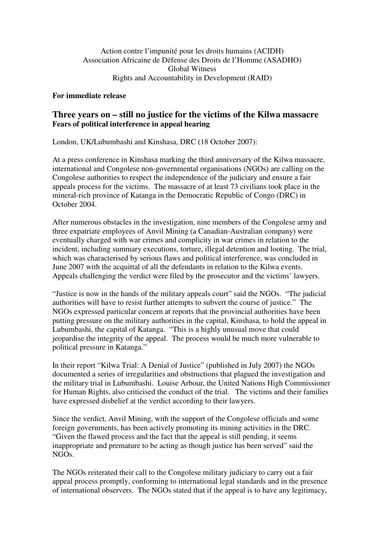## **For immediate release**

## **Three years on – still no justice for the victims of the Kilwa massacre Fears of political interference in appeal hearing**

London, UK/Lubumbashi and Kinshasa, DRC (18 October 2007):

At a press conference in Kinshasa marking the third anniversary of the Kilwa massacre, international and Congolese non-governmental organisations (NGOs) are calling on the Congolese authorities to respect the independence of the judiciary and ensure a fair appeals process for the victims. The massacre of at least 73 civilians took place in the mineral-rich province of Katanga in the Democratic Republic of Congo (DRC) in October 2004.

After numerous obstacles in the investigation, nine members of the Congolese army and three expatriate employees of Anvil Mining (a Canadian-Australian company) were eventually charged with war crimes and complicity in war crimes in relation to the incident, including summary executions, torture, illegal detention and looting. The trial, which was characterised by serious flaws and political interference, was concluded in June 2007 with the acquittal of all the defendants in relation to the Kilwa events. Appeals challenging the verdict were filed by the prosecutor and the victims' lawyers.

"Justice is now in the hands of the military appeals court" said the NGOs. "The judicial authorities will have to resist further attempts to subvert the course of justice." The NGOs expressed particular concern at reports that the provincial authorities have been putting pressure on the military authorities in the capital, Kinshasa, to hold the appeal in Lubumbashi, the capital of Katanga. "This is a highly unusual move that could jeopardise the integrity of the appeal. The process would be much more vulnerable to political pressure in Katanga."

In their report "Kilwa Trial: A Denial of Justice" (published in July 2007) the NGOs documented a series of irregularities and obstructions that plagued the investigation and the military trial in Lubumbashi. Louise Arbour, the United Nations High Commissioner for Human Rights, also criticised the conduct of the trial. The victims and their families have expressed disbelief at the verdict according to their lawyers.

Since the verdict, Anvil Mining, with the support of the Congolese officials and some foreign governments, has been actively promoting its mining activities in the DRC. "Given the flawed process and the fact that the appeal is still pending, it seems inappropriate and premature to be acting as though justice has been served" said the NGOs.

The NGOs reiterated their call to the Congolese military judiciary to carry out a fair appeal process promptly, conforming to international legal standards and in the presence of international observers. The NGOs stated that if the appeal is to have any legitimacy,